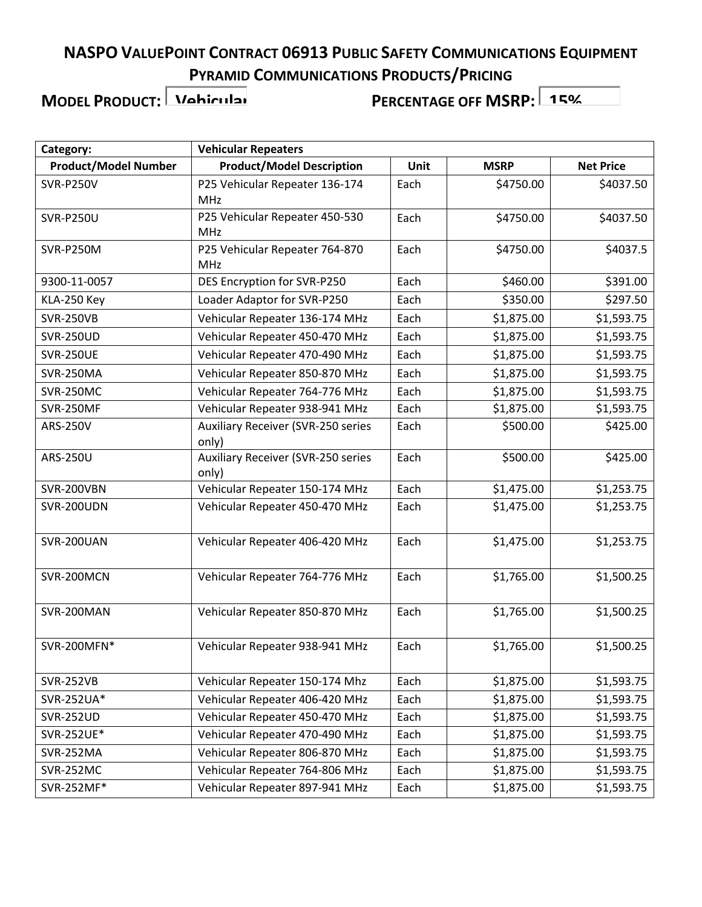**MODEL PRODUCT: Vehicular**

| Category:                   | <b>Vehicular Repeaters</b>                         |      |             |                  |
|-----------------------------|----------------------------------------------------|------|-------------|------------------|
| <b>Product/Model Number</b> | <b>Product/Model Description</b>                   | Unit | <b>MSRP</b> | <b>Net Price</b> |
| <b>SVR-P250V</b>            | P25 Vehicular Repeater 136-174<br>MHz              | Each | \$4750.00   | \$4037.50        |
| <b>SVR-P250U</b>            | P25 Vehicular Repeater 450-530<br>MHz              | Each | \$4750.00   | \$4037.50        |
| SVR-P250M                   | P25 Vehicular Repeater 764-870<br><b>MHz</b>       | Each | \$4750.00   | \$4037.5         |
| 9300-11-0057                | DES Encryption for SVR-P250                        | Each | \$460.00    | \$391.00         |
| KLA-250 Key                 | Loader Adaptor for SVR-P250                        | Each | \$350.00    | \$297.50         |
| <b>SVR-250VB</b>            | Vehicular Repeater 136-174 MHz                     | Each | \$1,875.00  | \$1,593.75       |
| <b>SVR-250UD</b>            | Vehicular Repeater 450-470 MHz                     | Each | \$1,875.00  | \$1,593.75       |
| <b>SVR-250UE</b>            | Vehicular Repeater 470-490 MHz                     | Each | \$1,875.00  | \$1,593.75       |
| SVR-250MA                   | Vehicular Repeater 850-870 MHz                     | Each | \$1,875.00  | \$1,593.75       |
| <b>SVR-250MC</b>            | Vehicular Repeater 764-776 MHz                     | Each | \$1,875.00  | \$1,593.75       |
| <b>SVR-250MF</b>            | Vehicular Repeater 938-941 MHz                     | Each | \$1,875.00  | \$1,593.75       |
| <b>ARS-250V</b>             | Auxiliary Receiver (SVR-250 series<br>only)        | Each | \$500.00    | \$425.00         |
| ARS-250U                    | <b>Auxiliary Receiver (SVR-250 series</b><br>only) | Each | \$500.00    | \$425.00         |
| SVR-200VBN                  | Vehicular Repeater 150-174 MHz                     | Each | \$1,475.00  | \$1,253.75       |
| SVR-200UDN                  | Vehicular Repeater 450-470 MHz                     | Each | \$1,475.00  | \$1,253.75       |
| SVR-200UAN                  | Vehicular Repeater 406-420 MHz                     | Each | \$1,475.00  | \$1,253.75       |
| SVR-200MCN                  | Vehicular Repeater 764-776 MHz                     | Each | \$1,765.00  | \$1,500.25       |
| SVR-200MAN                  | Vehicular Repeater 850-870 MHz                     | Each | \$1,765.00  | \$1,500.25       |
| SVR-200MFN*                 | Vehicular Repeater 938-941 MHz                     | Each | \$1,765.00  | \$1,500.25       |
| <b>SVR-252VB</b>            | Vehicular Repeater 150-174 Mhz                     | Each | \$1,875.00  | \$1,593.75       |
| SVR-252UA*                  | Vehicular Repeater 406-420 MHz                     | Each | \$1,875.00  | \$1,593.75       |
| <b>SVR-252UD</b>            | Vehicular Repeater 450-470 MHz                     | Each | \$1,875.00  | \$1,593.75       |
| SVR-252UE*                  | Vehicular Repeater 470-490 MHz                     | Each | \$1,875.00  | \$1,593.75       |
| SVR-252MA                   | Vehicular Repeater 806-870 MHz                     | Each | \$1,875.00  | \$1,593.75       |
| SVR-252MC                   | Vehicular Repeater 764-806 MHz                     | Each | \$1,875.00  | \$1,593.75       |
| SVR-252MF*                  | Vehicular Repeater 897-941 MHz                     | Each | \$1,875.00  | \$1,593.75       |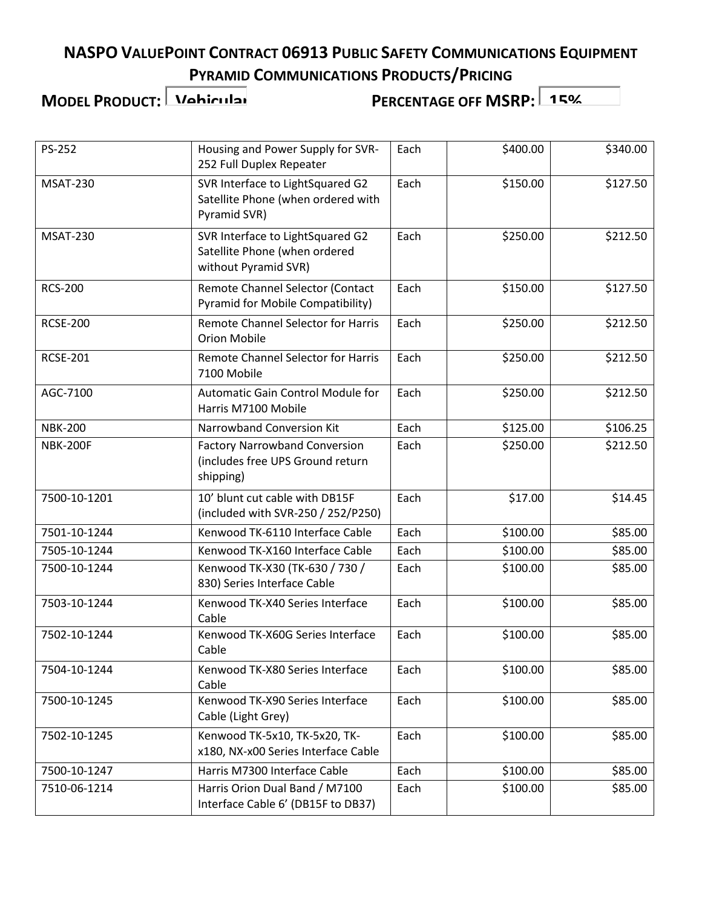**MODEL PRODUCT: Vehicular**

| Housing and Power Supply for SVR-<br>252 Full Duplex Repeater                             | Each                                                                | \$400.00 | \$340.00             |
|-------------------------------------------------------------------------------------------|---------------------------------------------------------------------|----------|----------------------|
| SVR Interface to LightSquared G2<br>Satellite Phone (when ordered with<br>Pyramid SVR)    | Each                                                                | \$150.00 | \$127.50             |
| SVR Interface to LightSquared G2<br>Satellite Phone (when ordered<br>without Pyramid SVR) | Each                                                                | \$250.00 | \$212.50             |
| Remote Channel Selector (Contact<br>Pyramid for Mobile Compatibility)                     | Each                                                                | \$150.00 | \$127.50             |
| <b>Remote Channel Selector for Harris</b><br><b>Orion Mobile</b>                          | Each                                                                | \$250.00 | \$212.50             |
| Remote Channel Selector for Harris<br>7100 Mobile                                         | Each                                                                | \$250.00 | \$212.50             |
| <b>Automatic Gain Control Module for</b><br>Harris M7100 Mobile                           | Each                                                                | \$250.00 | \$212.50             |
| Narrowband Conversion Kit                                                                 | Each                                                                | \$125.00 | \$106.25             |
| <b>Factory Narrowband Conversion</b><br>(includes free UPS Ground return<br>shipping)     | Each                                                                | \$250.00 | \$212.50             |
| 10' blunt cut cable with DB15F<br>(included with SVR-250 / 252/P250)                      | Each                                                                | \$17.00  | \$14.45              |
| Kenwood TK-6110 Interface Cable                                                           | Each                                                                | \$100.00 | \$85.00              |
| Kenwood TK-X160 Interface Cable                                                           | Each                                                                | \$100.00 | \$85.00              |
| Kenwood TK-X30 (TK-630 / 730 /<br>830) Series Interface Cable                             | Each                                                                | \$100.00 | \$85.00              |
| Kenwood TK-X40 Series Interface<br>Cable                                                  | Each                                                                | \$100.00 | \$85.00              |
| Cable                                                                                     |                                                                     |          | \$85.00              |
| Kenwood TK-X80 Series Interface<br>Cable                                                  | Each                                                                | \$100.00 | \$85.00              |
| Cable (Light Grey)                                                                        | Each                                                                |          | \$85.00              |
| Kenwood TK-5x10, TK-5x20, TK-<br>x180, NX-x00 Series Interface Cable                      | Each                                                                | \$100.00 | \$85.00              |
| Harris M7300 Interface Cable                                                              | Each                                                                | \$100.00 | \$85.00              |
| Harris Orion Dual Band / M7100<br>Interface Cable 6' (DB15F to DB37)                      | Each                                                                | \$100.00 | \$85.00              |
|                                                                                           | Kenwood TK-X60G Series Interface<br>Kenwood TK-X90 Series Interface | Each     | \$100.00<br>\$100.00 |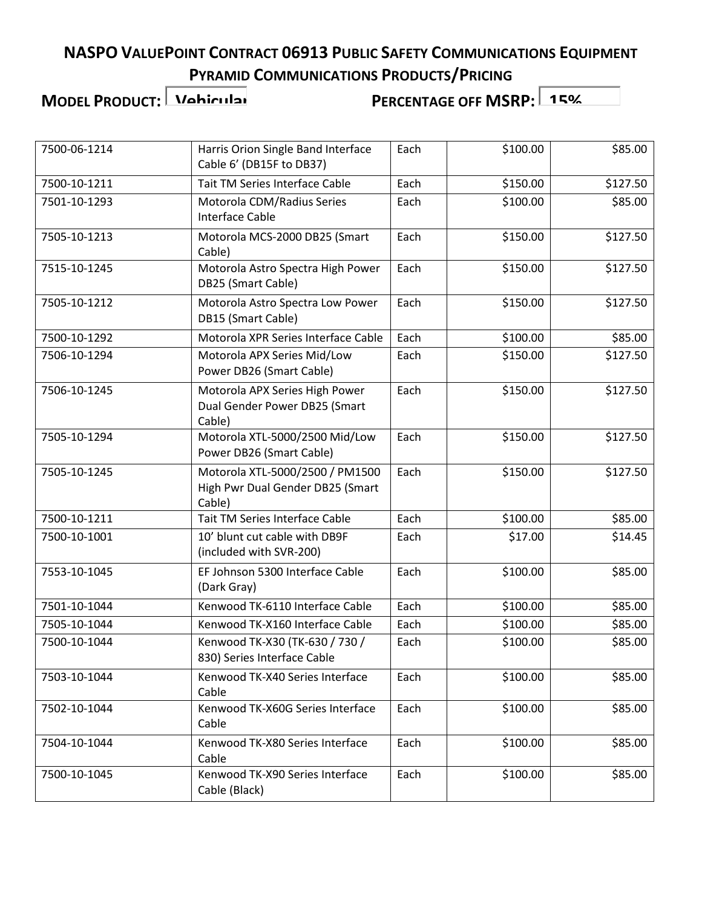**MODEL PRODUCT: Vehicular**

| 7500-06-1214 | Harris Orion Single Band Interface<br>Cable 6' (DB15F to DB37)                | Each | \$100.00 | \$85.00  |
|--------------|-------------------------------------------------------------------------------|------|----------|----------|
| 7500-10-1211 | Tait TM Series Interface Cable                                                | Each | \$150.00 | \$127.50 |
| 7501-10-1293 | Motorola CDM/Radius Series<br><b>Interface Cable</b>                          | Each | \$100.00 | \$85.00  |
| 7505-10-1213 | Motorola MCS-2000 DB25 (Smart<br>Cable)                                       | Each | \$150.00 | \$127.50 |
| 7515-10-1245 | Motorola Astro Spectra High Power<br>DB25 (Smart Cable)                       | Each | \$150.00 | \$127.50 |
| 7505-10-1212 | Motorola Astro Spectra Low Power<br>DB15 (Smart Cable)                        | Each | \$150.00 | \$127.50 |
| 7500-10-1292 | Motorola XPR Series Interface Cable                                           | Each | \$100.00 | \$85.00  |
| 7506-10-1294 | Motorola APX Series Mid/Low<br>Power DB26 (Smart Cable)                       | Each | \$150.00 | \$127.50 |
| 7506-10-1245 | Motorola APX Series High Power<br>Dual Gender Power DB25 (Smart<br>Cable)     | Each | \$150.00 | \$127.50 |
| 7505-10-1294 | Motorola XTL-5000/2500 Mid/Low<br>Power DB26 (Smart Cable)                    | Each | \$150.00 | \$127.50 |
| 7505-10-1245 | Motorola XTL-5000/2500 / PM1500<br>High Pwr Dual Gender DB25 (Smart<br>Cable) | Each | \$150.00 | \$127.50 |
| 7500-10-1211 | Tait TM Series Interface Cable                                                | Each | \$100.00 | \$85.00  |
| 7500-10-1001 | 10' blunt cut cable with DB9F<br>(included with SVR-200)                      | Each | \$17.00  | \$14.45  |
| 7553-10-1045 | EF Johnson 5300 Interface Cable<br>(Dark Gray)                                | Each | \$100.00 | \$85.00  |
| 7501-10-1044 | Kenwood TK-6110 Interface Cable                                               | Each | \$100.00 | \$85.00  |
| 7505-10-1044 | Kenwood TK-X160 Interface Cable                                               | Each | \$100.00 | \$85.00  |
| 7500-10-1044 | Kenwood TK-X30 (TK-630 / 730 /<br>830) Series Interface Cable                 | Each | \$100.00 | \$85.00  |
| 7503-10-1044 | Kenwood TK-X40 Series Interface<br>Cable                                      | Each | \$100.00 | \$85.00  |
| 7502-10-1044 | Kenwood TK-X60G Series Interface<br>Cable                                     | Each | \$100.00 | \$85.00  |
| 7504-10-1044 | Kenwood TK-X80 Series Interface<br>Cable                                      | Each | \$100.00 | \$85.00  |
| 7500-10-1045 | Kenwood TK-X90 Series Interface<br>Cable (Black)                              | Each | \$100.00 | \$85.00  |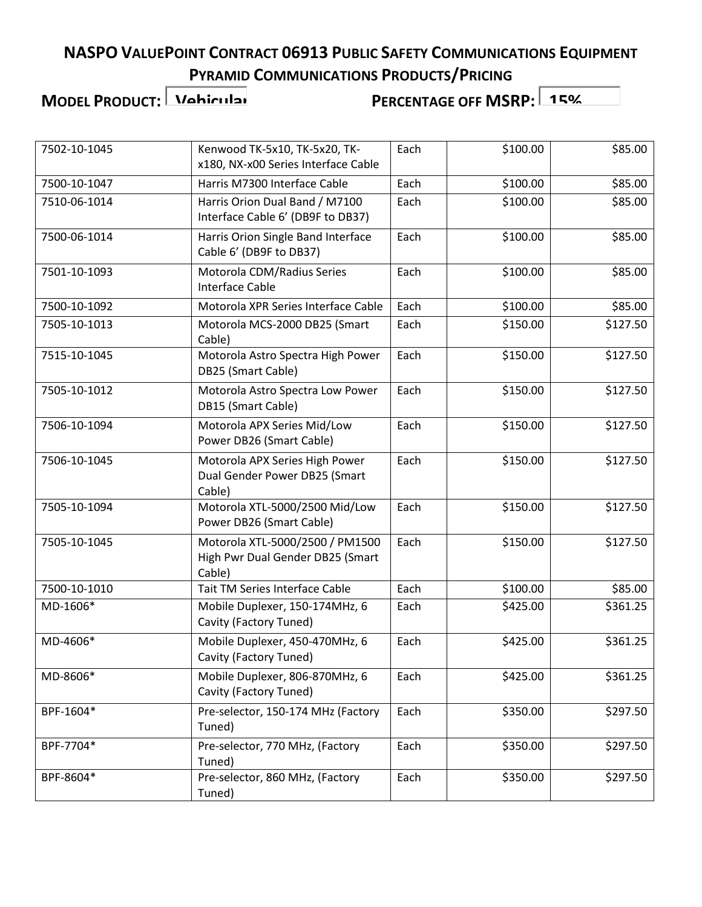**MODEL PRODUCT: Vehicular**

| 7502-10-1045 | Kenwood TK-5x10, TK-5x20, TK-<br>x180, NX-x00 Series Interface Cable          | Each | \$100.00 | \$85.00  |
|--------------|-------------------------------------------------------------------------------|------|----------|----------|
| 7500-10-1047 | Harris M7300 Interface Cable                                                  | Each | \$100.00 | \$85.00  |
| 7510-06-1014 | Harris Orion Dual Band / M7100<br>Interface Cable 6' (DB9F to DB37)           | Each | \$100.00 | \$85.00  |
| 7500-06-1014 | Harris Orion Single Band Interface<br>Cable 6' (DB9F to DB37)                 | Each | \$100.00 | \$85.00  |
| 7501-10-1093 | Motorola CDM/Radius Series<br><b>Interface Cable</b>                          | Each | \$100.00 | \$85.00  |
| 7500-10-1092 | Motorola XPR Series Interface Cable                                           | Each | \$100.00 | \$85.00  |
| 7505-10-1013 | Motorola MCS-2000 DB25 (Smart<br>Cable)                                       | Each | \$150.00 | \$127.50 |
| 7515-10-1045 | Motorola Astro Spectra High Power<br>DB25 (Smart Cable)                       | Each | \$150.00 | \$127.50 |
| 7505-10-1012 | Motorola Astro Spectra Low Power<br>DB15 (Smart Cable)                        | Each | \$150.00 | \$127.50 |
| 7506-10-1094 | Motorola APX Series Mid/Low<br>Power DB26 (Smart Cable)                       | Each | \$150.00 | \$127.50 |
| 7506-10-1045 | Motorola APX Series High Power<br>Dual Gender Power DB25 (Smart<br>Cable)     | Each | \$150.00 | \$127.50 |
| 7505-10-1094 | Motorola XTL-5000/2500 Mid/Low<br>Power DB26 (Smart Cable)                    | Each | \$150.00 | \$127.50 |
| 7505-10-1045 | Motorola XTL-5000/2500 / PM1500<br>High Pwr Dual Gender DB25 (Smart<br>Cable) | Each | \$150.00 | \$127.50 |
| 7500-10-1010 | Tait TM Series Interface Cable                                                | Each | \$100.00 | \$85.00  |
| MD-1606*     | Mobile Duplexer, 150-174MHz, 6<br>Cavity (Factory Tuned)                      | Each | \$425.00 | \$361.25 |
| MD-4606*     | Mobile Duplexer, 450-470MHz, 6<br>Cavity (Factory Tuned)                      | Each | \$425.00 | \$361.25 |
| MD-8606*     | Mobile Duplexer, 806-870MHz, 6<br>Cavity (Factory Tuned)                      | Each | \$425.00 | \$361.25 |
| BPF-1604*    | Pre-selector, 150-174 MHz (Factory<br>Tuned)                                  | Each | \$350.00 | \$297.50 |
| BPF-7704*    | Pre-selector, 770 MHz, (Factory<br>Tuned)                                     | Each | \$350.00 | \$297.50 |
| BPF-8604*    | Pre-selector, 860 MHz, (Factory<br>Tuned)                                     | Each | \$350.00 | \$297.50 |